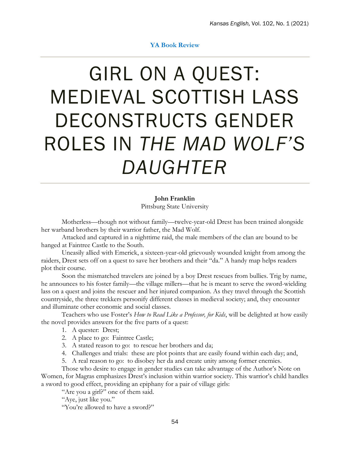## **YA Book Review**

## GIRL ON A QUEST: MEDIEVAL SCOTTISH LASS DECONSTRUCTS GENDER ROLES IN *THE MAD WOLF'S DAUGHTER*

**John Franklin** Pittsburg State University

Motherless—though not without family—twelve-year-old Drest has been trained alongside her warband brothers by their warrior father, the Mad Wolf.

Attacked and captured in a nighttime raid, the male members of the clan are bound to be hanged at Faintree Castle to the South.

Uneasily allied with Emerick, a sixteen-year-old grievously wounded knight from among the raiders, Drest sets off on a quest to save her brothers and their "da." A handy map helps readers plot their course.

Soon the mismatched travelers are joined by a boy Drest rescues from bullies. Trig by name, he announces to his foster family—the village millers—that he is meant to serve the sword-wielding lass on a quest and joins the rescuer and her injured companion. As they travel through the Scottish countryside, the three trekkers personify different classes in medieval society; and, they encounter and illuminate other economic and social classes.

Teachers who use Foster's *How to Read Like a Professor, for Kids*, will be delighted at how easily the novel provides answers for the five parts of a quest:

- 1. A quester: Drest;
- 2. A place to go: Faintree Castle;
- 3. A stated reason to go: to rescue her brothers and da;
- 4. Challenges and trials: these are plot points that are easily found within each day; and,
- 5. A real reason to go: to disobey her da and create unity among former enemies.

Those who desire to engage in gender studies can take advantage of the Author's Note on Women, for Magras emphasizes Drest's inclusion within warrior society. This warrior's child handles a sword to good effect, providing an epiphany for a pair of village girls:

"Are you a girl?" one of them said.

"Aye, just like you."

"You're allowed to have a sword?"